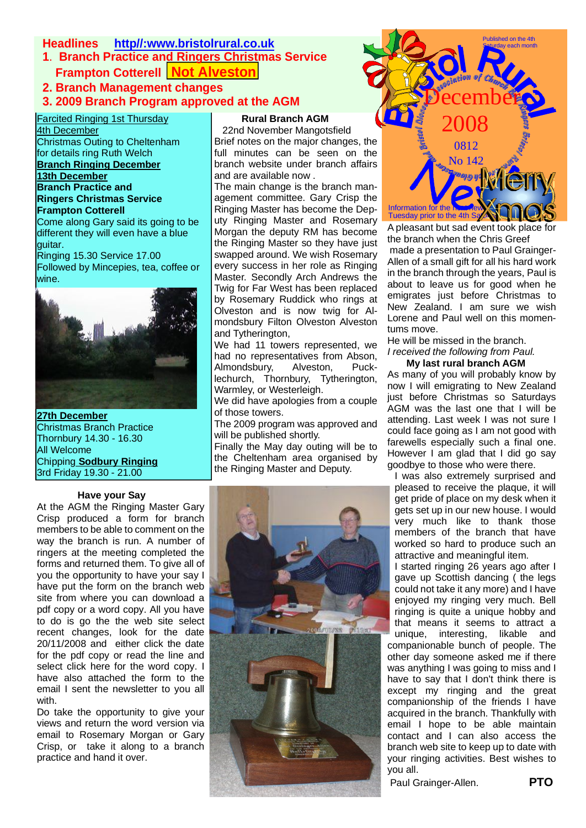# **Headlines http//:www.bristolrural.co.uk**

- **1**. **Branch Practice and Ringers Christmas Service Frampton Cotterell | Not Alveston**
- **2. Branch Management changes**
- **3. 2009 Branch Program approved at the AGM**

Farcited Ringing 1st Thursday 4th December

Christmas Outing to Cheltenham for details ring Ruth Welch **Branch Ringing December 13th December Branch Practice and**

**Ringers Christmas Service Frampton Cotterell**

Come along Gary said its going to be different they will even have a blue quitar.

Ringing 15.30 Service 17.00 Followed by Mincepies, tea, coffee or wine.



**27th December** Christmas Branch Practice Thornbury 14.30 - 16.30 All Welcome Chipping **Sodbury Ringing** 3rd Friday 19.30 - 21.00

#### **Have your Say**

At the AGM the Ringing Master Gary Crisp produced a form for branch members to be able to comment on the way the branch is run. A number of ringers at the meeting completed the forms and returned them. To give all of you the opportunity to have your say I have put the form on the branch web site from where you can download a pdf copy or a word copy. All you have to do is go the the web site select recent changes, look for the date 20/11/2008 and either click the date for the pdf copy or read the line and select click here for the word copy. I have also attached the form to the email I sent the newsletter to you all with.

Do take the opportunity to give your views and return the word version via email to Rosemary Morgan or Gary Crisp, or take it along to a branch practice and hand it over.

## **Rural Branch AGM**

 22nd November Mangotsfield Brief notes on the major changes, the full minutes can be seen on the branch website under branch affairs and are available now .

The main change is the branch management committee. Gary Crisp the Ringing Master has become the Deputy Ringing Master and Rosemary Morgan the deputy RM has become the Ringing Master so they have just swapped around. We wish Rosemary every success in her role as Ringing Master. Secondly Arch Andrews the Twig for Far West has been replaced by Rosemary Ruddick who rings at Olveston and is now twig for Almondsbury Filton Olveston Alveston and Tytherington,

We had 11 towers represented, we had no representatives from Abson,<br>Almondsbury, Alveston, Puck-Almondsbury, lechurch, Thornbury, Tytherington, Warmley, or Westerleigh.

We did have apologies from a couple of those towers.

The 2009 program was approved and will be published shortly.

Finally the May day outing will be to the Cheltenham area organised by the Ringing Master and Deputy.





A pleasant but sad event took place for the branch when the Chris Greef

 made a presentation to Paul Grainger-Allen of a small gift for all his hard work in the branch through the years, Paul is about to leave us for good when he emigrates just before Christmas to New Zealand. I am sure we wish Lorene and Paul well on this momentums move.

He will be missed in the branch. *I received the following from Paul.*

### **My last rural branch AGM**

As many of you will probably know by now I will emigrating to New Zealand just before Christmas so Saturdays AGM was the last one that I will be attending. Last week I was not sure I could face going as I am not good with farewells especially such a final one. However I am glad that I did go say goodbye to those who were there.

I was also extremely surprised and pleased to receive the plaque, it will get pride of place on my desk when it gets set up in our new house. I would very much like to thank those members of the branch that have worked so hard to produce such an attractive and meaningful item.

I started ringing 26 years ago after I gave up Scottish dancing ( the legs could not take it any more) and I have enjoyed my ringing very much. Bell ringing is quite a unique hobby and that means it seems to attract a unique, interesting, likable and companionable bunch of people. The other day someone asked me if there was anything I was going to miss and I have to say that I don't think there is except my ringing and the great companionship of the friends I have acquired in the branch. Thankfully with email I hope to be able maintain contact and I can also access the branch web site to keep up to date with your ringing activities. Best wishes to you all.

Paul Grainger-Allen. **PTO**